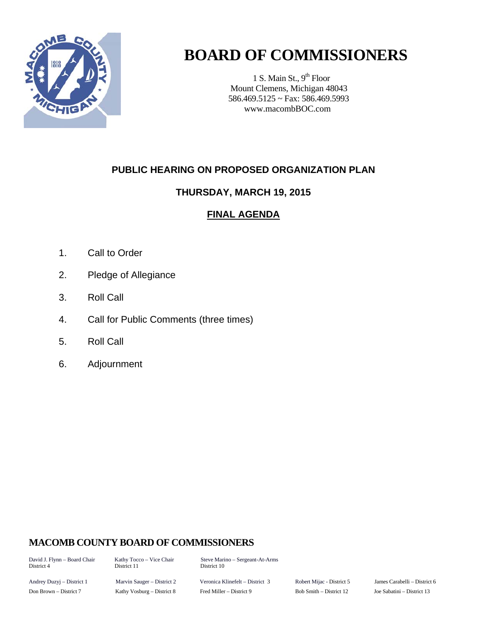

## **BOARD OF COMMISSIONERS**

1 S. Main St.,  $9<sup>th</sup>$  Floor Mount Clemens, Michigan 48043 586.469.5125 ~ Fax: 586.469.5993 www.macombBOC.com

## **PUBLIC HEARING ON PROPOSED ORGANIZATION PLAN**

## **THURSDAY, MARCH 19, 2015**

## **FINAL AGENDA**

- 1. Call to Order
- 2. Pledge of Allegiance
- 3. Roll Call
- 4. Call for Public Comments (three times)
- 5. Roll Call
- 6. Adjournment

## **MACOMB COUNTY BOARD OF COMMISSIONERS**

David J. Flynn – Board Chair Kathy Tocco – Vice Chair Steve Marino – Sergeant-At-Arms District 10

Andrey Duzyj – District 1 Marvin Sauger – District 2 Veronica Klinefelt – District 3 Robert Mijac - District 5 James Carabelli – District 6 Don Brown – District 7 Kathy Vosburg – District 8 Fred Miller – District 9 Bob Smith – District 12 Joe Sabatini – District 13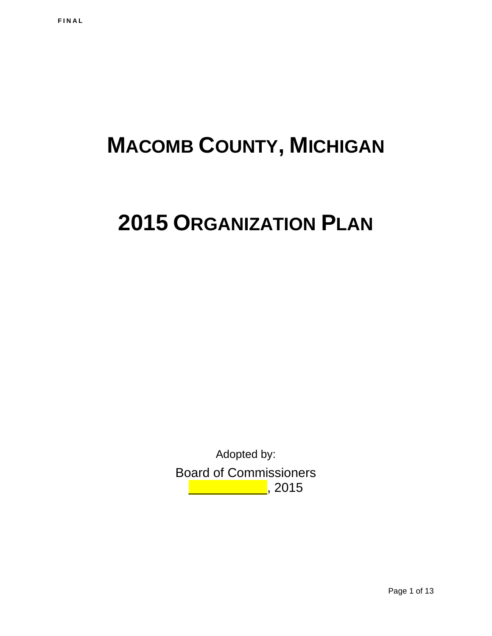# **MACOMB COUNTY, MICHIGAN**

## **2015 ORGANIZATION PLAN**

Adopted by: Board of Commissioners \_\_\_\_\_\_\_\_\_\_\_\_\_<mark>\_</mark>, 2015

Page 1 of 13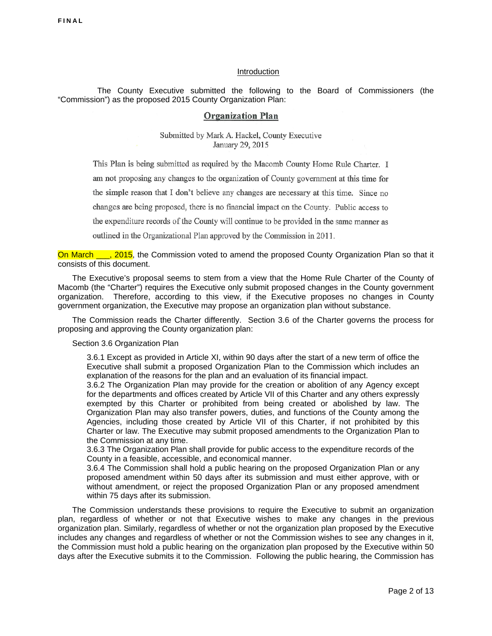#### Introduction

 The County Executive submitted the following to the Board of Commissioners (the "Commission") as the proposed 2015 County Organization Plan:

#### **Organization Plan**

Submitted by Mark A. Hackel, County Executive January 29, 2015

This Plan is being submitted as required by the Macomb County Home Rule Charter. I am not proposing any changes to the organization of County government at this time for the simple reason that I don't believe any changes are necessary at this time. Since no changes are being proposed, there is no financial impact on the County. Public access to the expenditure records of the County will continue to be provided in the same manner as outlined in the Organizational Plan approved by the Commission in 2011.

On March  $\frac{1}{2}$ , 2015, the Commission voted to amend the proposed County Organization Plan so that it consists of this document.

 The Executive's proposal seems to stem from a view that the Home Rule Charter of the County of Macomb (the "Charter") requires the Executive only submit proposed changes in the County government organization. Therefore, according to this view, if the Executive proposes no changes in County government organization, the Executive may propose an organization plan without substance.

The Commission reads the Charter differently. Section 3.6 of the Charter governs the process for proposing and approving the County organization plan:

Section 3.6 Organization Plan

3.6.1 Except as provided in Article XI, within 90 days after the start of a new term of office the Executive shall submit a proposed Organization Plan to the Commission which includes an explanation of the reasons for the plan and an evaluation of its financial impact.

3.6.2 The Organization Plan may provide for the creation or abolition of any Agency except for the departments and offices created by Article VII of this Charter and any others expressly exempted by this Charter or prohibited from being created or abolished by law. The Organization Plan may also transfer powers, duties, and functions of the County among the Agencies, including those created by Article VII of this Charter, if not prohibited by this Charter or law. The Executive may submit proposed amendments to the Organization Plan to the Commission at any time.

3.6.3 The Organization Plan shall provide for public access to the expenditure records of the County in a feasible, accessible, and economical manner.

3.6.4 The Commission shall hold a public hearing on the proposed Organization Plan or any proposed amendment within 50 days after its submission and must either approve, with or without amendment, or reject the proposed Organization Plan or any proposed amendment within 75 days after its submission.

 The Commission understands these provisions to require the Executive to submit an organization plan, regardless of whether or not that Executive wishes to make any changes in the previous organization plan. Similarly, regardless of whether or not the organization plan proposed by the Executive includes any changes and regardless of whether or not the Commission wishes to see any changes in it, the Commission must hold a public hearing on the organization plan proposed by the Executive within 50 days after the Executive submits it to the Commission. Following the public hearing, the Commission has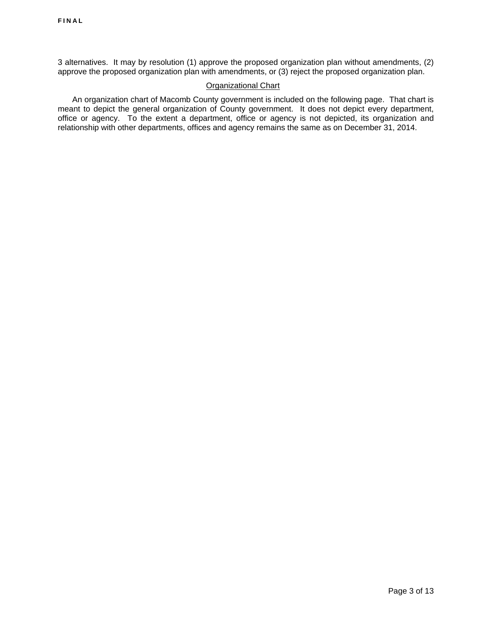3 alternatives. It may by resolution (1) approve the proposed organization plan without amendments, (2) approve the proposed organization plan with amendments, or (3) reject the proposed organization plan.

#### Organizational Chart

 An organization chart of Macomb County government is included on the following page. That chart is meant to depict the general organization of County government. It does not depict every department, office or agency. To the extent a department, office or agency is not depicted, its organization and relationship with other departments, offices and agency remains the same as on December 31, 2014.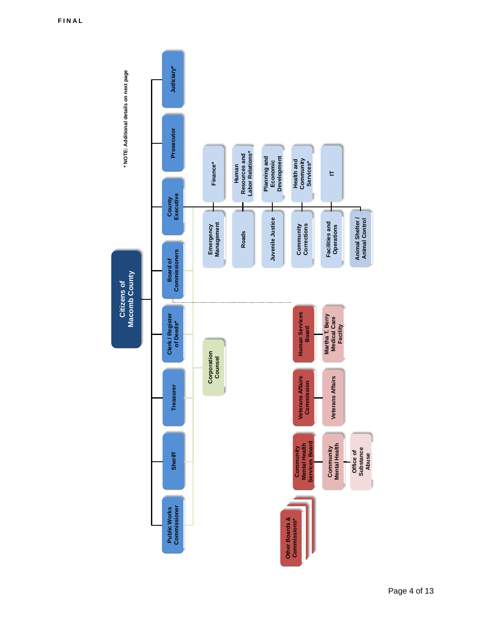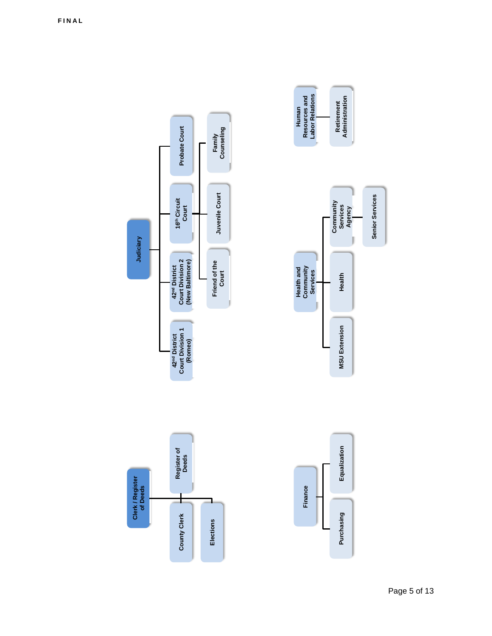**Human**<br>Resources and<br>Labor Relations Retirement<br>Administration **Labor Relations Resources and Administration Retirement Family**  Probate Court **Probate Court Counseling**  Juvenile Court **Court Juvenile Court Senior Services Senior Services**  16<sup>th</sup> Circuit<br>Court **16th Circuit Community**<br>**Services**<br>**Agency Community Services Judiciary**  42<sup>nd</sup> District<br>Court Division 2<br>(New Baltimore) Friend of the<br>Court **Court Division 2 (New Baltimore) Friend of the**  Health and<br>Community<br>Services **42nd District Community Health and Services Health**  42<sup>nd</sup> District<br>Court Division 1<br>(Romeo) **MSU Extension Purchasing Equalization MSU Extension Court Division 1 42nd District Deeds**  Equalization **Register of**  Clerk / Register<br>of Deeds **of Deeds**  Finance **Finance**  T, ∃ Purchasing **County Clerk County Clerk Elections Elections** 

**Clerk / Register**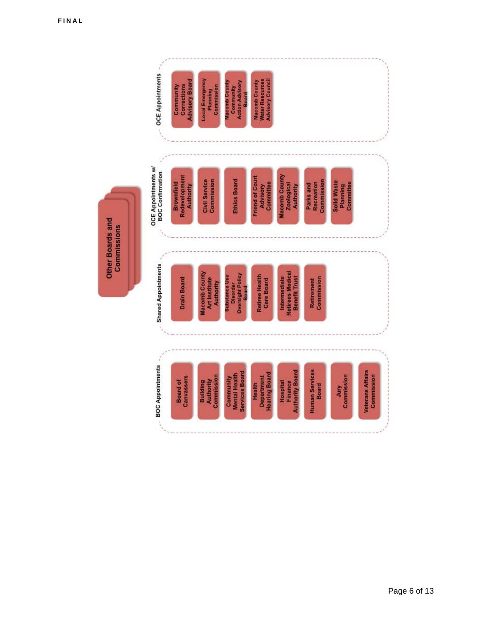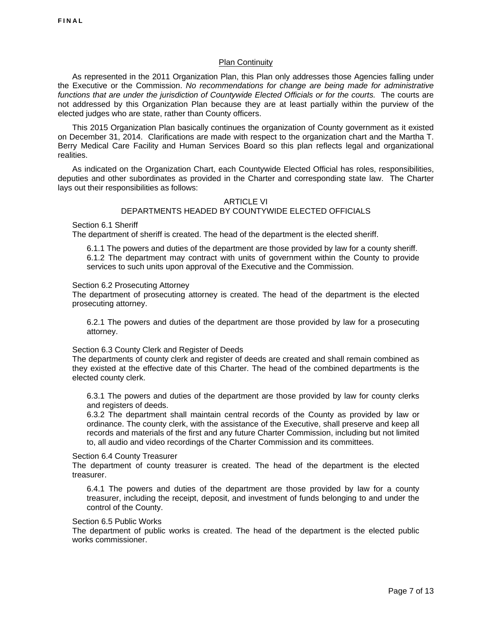#### **Plan Continuity**

 As represented in the 2011 Organization Plan, this Plan only addresses those Agencies falling under the Executive or the Commission. *No recommendations for change are being made for administrative*  functions that are under the jurisdiction of Countywide Elected Officials or for the courts. The courts are not addressed by this Organization Plan because they are at least partially within the purview of the elected judges who are state, rather than County officers.

 This 2015 Organization Plan basically continues the organization of County government as it existed on December 31, 2014. Clarifications are made with respect to the organization chart and the Martha T. Berry Medical Care Facility and Human Services Board so this plan reflects legal and organizational realities.

 As indicated on the Organization Chart, each Countywide Elected Official has roles, responsibilities, deputies and other subordinates as provided in the Charter and corresponding state law. The Charter lays out their responsibilities as follows:

#### ARTICLE VI DEPARTMENTS HEADED BY COUNTYWIDE ELECTED OFFICIALS

Section 6.1 Sheriff

The department of sheriff is created. The head of the department is the elected sheriff.

6.1.1 The powers and duties of the department are those provided by law for a county sheriff. 6.1.2 The department may contract with units of government within the County to provide services to such units upon approval of the Executive and the Commission.

#### Section 6.2 Prosecuting Attorney

The department of prosecuting attorney is created. The head of the department is the elected prosecuting attorney.

6.2.1 The powers and duties of the department are those provided by law for a prosecuting attorney.

#### Section 6.3 County Clerk and Register of Deeds

The departments of county clerk and register of deeds are created and shall remain combined as they existed at the effective date of this Charter. The head of the combined departments is the elected county clerk.

6.3.1 The powers and duties of the department are those provided by law for county clerks and registers of deeds.

6.3.2 The department shall maintain central records of the County as provided by law or ordinance. The county clerk, with the assistance of the Executive, shall preserve and keep all records and materials of the first and any future Charter Commission, including but not limited to, all audio and video recordings of the Charter Commission and its committees.

#### Section 6.4 County Treasurer

The department of county treasurer is created. The head of the department is the elected treasurer.

6.4.1 The powers and duties of the department are those provided by law for a county treasurer, including the receipt, deposit, and investment of funds belonging to and under the control of the County.

#### Section 6.5 Public Works

The department of public works is created. The head of the department is the elected public works commissioner.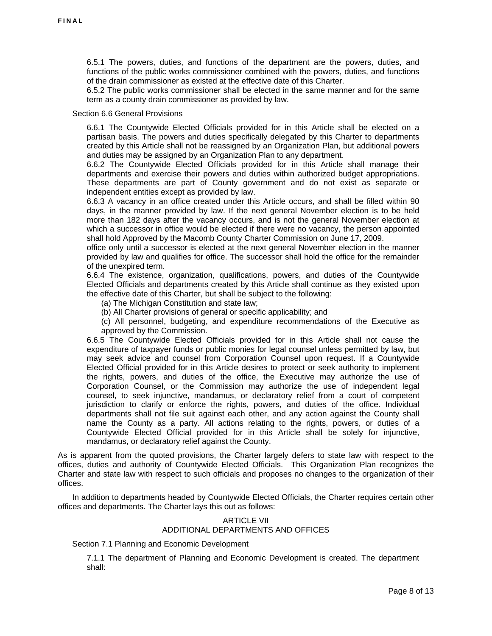6.5.1 The powers, duties, and functions of the department are the powers, duties, and functions of the public works commissioner combined with the powers, duties, and functions of the drain commissioner as existed at the effective date of this Charter.

6.5.2 The public works commissioner shall be elected in the same manner and for the same term as a county drain commissioner as provided by law.

#### Section 6.6 General Provisions

6.6.1 The Countywide Elected Officials provided for in this Article shall be elected on a partisan basis. The powers and duties specifically delegated by this Charter to departments created by this Article shall not be reassigned by an Organization Plan, but additional powers and duties may be assigned by an Organization Plan to any department.

6.6.2 The Countywide Elected Officials provided for in this Article shall manage their departments and exercise their powers and duties within authorized budget appropriations. These departments are part of County government and do not exist as separate or independent entities except as provided by law.

6.6.3 A vacancy in an office created under this Article occurs, and shall be filled within 90 days, in the manner provided by law. If the next general November election is to be held more than 182 days after the vacancy occurs, and is not the general November election at which a successor in office would be elected if there were no vacancy, the person appointed shall hold Approved by the Macomb County Charter Commission on June 17, 2009.

office only until a successor is elected at the next general November election in the manner provided by law and qualifies for office. The successor shall hold the office for the remainder of the unexpired term.

6.6.4 The existence, organization, qualifications, powers, and duties of the Countywide Elected Officials and departments created by this Article shall continue as they existed upon the effective date of this Charter, but shall be subject to the following:

(a) The Michigan Constitution and state law;

(b) All Charter provisions of general or specific applicability; and

(c) All personnel, budgeting, and expenditure recommendations of the Executive as approved by the Commission.

6.6.5 The Countywide Elected Officials provided for in this Article shall not cause the expenditure of taxpayer funds or public monies for legal counsel unless permitted by law, but may seek advice and counsel from Corporation Counsel upon request. If a Countywide Elected Official provided for in this Article desires to protect or seek authority to implement the rights, powers, and duties of the office, the Executive may authorize the use of Corporation Counsel, or the Commission may authorize the use of independent legal counsel, to seek injunctive, mandamus, or declaratory relief from a court of competent jurisdiction to clarify or enforce the rights, powers, and duties of the office. Individual departments shall not file suit against each other, and any action against the County shall name the County as a party. All actions relating to the rights, powers, or duties of a Countywide Elected Official provided for in this Article shall be solely for injunctive, mandamus, or declaratory relief against the County.

As is apparent from the quoted provisions, the Charter largely defers to state law with respect to the offices, duties and authority of Countywide Elected Officials. This Organization Plan recognizes the Charter and state law with respect to such officials and proposes no changes to the organization of their offices.

 In addition to departments headed by Countywide Elected Officials, the Charter requires certain other offices and departments. The Charter lays this out as follows:

#### ARTICLE VII ADDITIONAL DEPARTMENTS AND OFFICES

Section 7.1 Planning and Economic Development

7.1.1 The department of Planning and Economic Development is created. The department shall: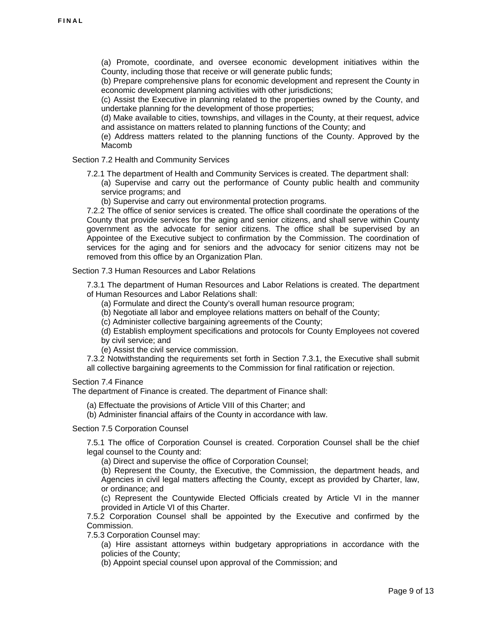(a) Promote, coordinate, and oversee economic development initiatives within the County, including those that receive or will generate public funds;

(b) Prepare comprehensive plans for economic development and represent the County in economic development planning activities with other jurisdictions;

(c) Assist the Executive in planning related to the properties owned by the County, and undertake planning for the development of those properties;

(d) Make available to cities, townships, and villages in the County, at their request, advice and assistance on matters related to planning functions of the County; and

(e) Address matters related to the planning functions of the County. Approved by the Macomb

Section 7.2 Health and Community Services

7.2.1 The department of Health and Community Services is created. The department shall:

(a) Supervise and carry out the performance of County public health and community service programs; and

(b) Supervise and carry out environmental protection programs.

7.2.2 The office of senior services is created. The office shall coordinate the operations of the County that provide services for the aging and senior citizens, and shall serve within County government as the advocate for senior citizens. The office shall be supervised by an Appointee of the Executive subject to confirmation by the Commission. The coordination of services for the aging and for seniors and the advocacy for senior citizens may not be removed from this office by an Organization Plan.

Section 7.3 Human Resources and Labor Relations

7.3.1 The department of Human Resources and Labor Relations is created. The department of Human Resources and Labor Relations shall:

(a) Formulate and direct the County's overall human resource program;

(b) Negotiate all labor and employee relations matters on behalf of the County;

(c) Administer collective bargaining agreements of the County;

(d) Establish employment specifications and protocols for County Employees not covered by civil service; and

(e) Assist the civil service commission.

7.3.2 Notwithstanding the requirements set forth in Section 7.3.1, the Executive shall submit all collective bargaining agreements to the Commission for final ratification or rejection.

Section 7.4 Finance

The department of Finance is created. The department of Finance shall:

(a) Effectuate the provisions of Article VIII of this Charter; and

(b) Administer financial affairs of the County in accordance with law.

#### Section 7.5 Corporation Counsel

7.5.1 The office of Corporation Counsel is created. Corporation Counsel shall be the chief legal counsel to the County and:

(a) Direct and supervise the office of Corporation Counsel;

(b) Represent the County, the Executive, the Commission, the department heads, and Agencies in civil legal matters affecting the County, except as provided by Charter, law, or ordinance; and

(c) Represent the Countywide Elected Officials created by Article VI in the manner provided in Article VI of this Charter.

7.5.2 Corporation Counsel shall be appointed by the Executive and confirmed by the Commission.

7.5.3 Corporation Counsel may:

(a) Hire assistant attorneys within budgetary appropriations in accordance with the policies of the County;

(b) Appoint special counsel upon approval of the Commission; and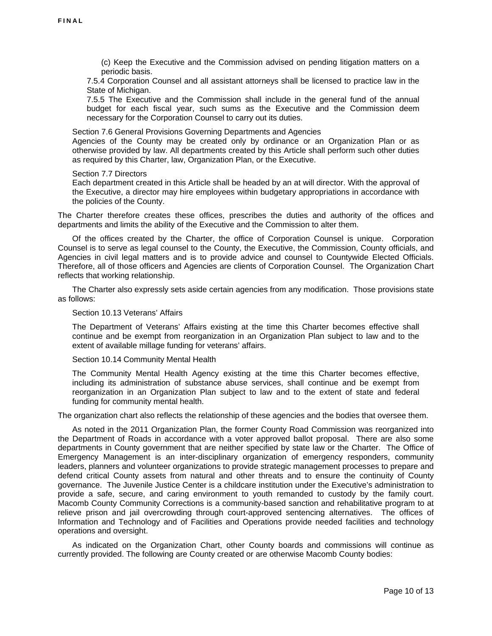(c) Keep the Executive and the Commission advised on pending litigation matters on a periodic basis.

7.5.4 Corporation Counsel and all assistant attorneys shall be licensed to practice law in the State of Michigan.

7.5.5 The Executive and the Commission shall include in the general fund of the annual budget for each fiscal year, such sums as the Executive and the Commission deem necessary for the Corporation Counsel to carry out its duties.

Section 7.6 General Provisions Governing Departments and Agencies Agencies of the County may be created only by ordinance or an Organization Plan or as otherwise provided by law. All departments created by this Article shall perform such other duties as required by this Charter, law, Organization Plan, or the Executive.

#### Section 7.7 Directors

Each department created in this Article shall be headed by an at will director. With the approval of the Executive, a director may hire employees within budgetary appropriations in accordance with the policies of the County.

The Charter therefore creates these offices, prescribes the duties and authority of the offices and departments and limits the ability of the Executive and the Commission to alter them.

 Of the offices created by the Charter, the office of Corporation Counsel is unique. Corporation Counsel is to serve as legal counsel to the County, the Executive, the Commission, County officials, and Agencies in civil legal matters and is to provide advice and counsel to Countywide Elected Officials. Therefore, all of those officers and Agencies are clients of Corporation Counsel. The Organization Chart reflects that working relationship.

 The Charter also expressly sets aside certain agencies from any modification. Those provisions state as follows:

#### Section 10.13 Veterans' Affairs

The Department of Veterans' Affairs existing at the time this Charter becomes effective shall continue and be exempt from reorganization in an Organization Plan subject to law and to the extent of available millage funding for veterans' affairs.

#### Section 10.14 Community Mental Health

The Community Mental Health Agency existing at the time this Charter becomes effective, including its administration of substance abuse services, shall continue and be exempt from reorganization in an Organization Plan subject to law and to the extent of state and federal funding for community mental health.

The organization chart also reflects the relationship of these agencies and the bodies that oversee them.

 As noted in the 2011 Organization Plan, the former County Road Commission was reorganized into the Department of Roads in accordance with a voter approved ballot proposal. There are also some departments in County government that are neither specified by state law or the Charter. The Office of Emergency Management is an inter-disciplinary organization of emergency responders, community leaders, planners and volunteer organizations to provide strategic management processes to prepare and defend critical County assets from natural and other threats and to ensure the continuity of County governance. The Juvenile Justice Center is a childcare institution under the Executive's administration to provide a safe, secure, and caring environment to youth remanded to custody by the family court. Macomb County Community Corrections is a community-based sanction and rehabilitative program to at relieve prison and jail overcrowding through court-approved sentencing alternatives. The offices of Information and Technology and of Facilities and Operations provide needed facilities and technology operations and oversight.

 As indicated on the Organization Chart, other County boards and commissions will continue as currently provided. The following are County created or are otherwise Macomb County bodies: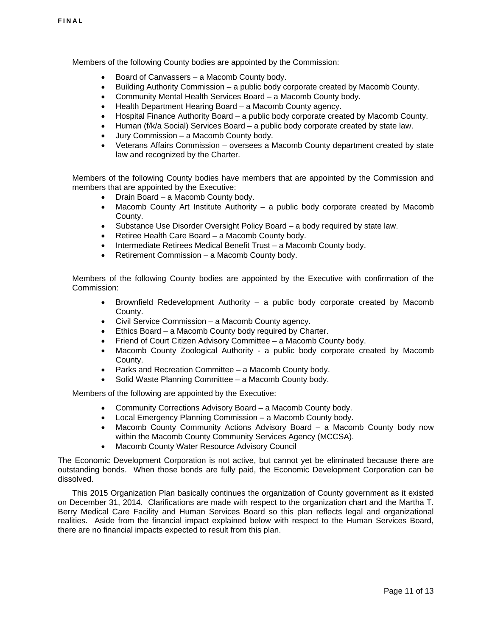Members of the following County bodies are appointed by the Commission:

- [Board of Canvassers](http://media.macombgov.org/sites/default/files/content/pdfs/boardsandcommissions/Bd_of_Canv_Bd-2Comm_desc_form_014.pdf)  a Macomb County body.
- [Building Authority Commission](http://media.macombgov.org/sites/default/files/content/pdfs/boardsandcommissions/Build%20Auth_Bd-Comm_desc_form_2013.pdf)  a public body corporate created by Macomb County.
- [Community Mental Health Services Board](http://media.macombgov.org/sites/default/files/content/pdfs/boardsandcommissions/CMH_Bd-Comm_desc_form_2013.pdf)  a Macomb County body.
- [Health Department Hearing Board –](http://media.macombgov.org/sites/default/files/content/pdfs/boardsandcommissions/Health%20Dept%20Hearing%20Bd_Bd-Comm_desc_form_2013.pdf) a Macomb County agency.
- [Hospital Finance Authority Board –](http://media.macombgov.org/sites/default/files/content/pdfs/boardsandcommissions/Hosp%20Fin%20Auth_Bd-Comm_desc_form_2013.pdf) a public body corporate created by Macomb County.
- Human (f/k/a [Social\) Services Board –](http://media.macombgov.org/sites/default/files/content/pdfs/boardsandcommissions/SSB_Bd-Comm%20_desc_form_2013.pdf) a public body corporate created by state law.
- [Jury Commission](http://media.macombgov.org/sites/default/files/content/pdfs/boardsandcommissions/Jury%20Comm_Bd-Comm_desc_form_2013.pdf)  a Macomb County body.
- [Veterans Affairs Commission –](http://media.macombgov.org/sites/default/files/content/pdfs/boardsandcommissions/Vets%20Affairs%20Comm_Bd-Comm_desc_form_2013.pdf) oversees a Macomb County department created by state law and recognized by the Charter.

Members of the following County bodies have members that are appointed by the Commission and members that are appointed by the Executive:

- Drain Board a Macomb County body.<br>• Macomb County Art Institute Authority
- [Macomb County Art Institute Authority](http://media.macombgov.org/sites/default/files/content/pdfs/boardsandcommissions/MAA_desc_form_2013.pdf)  a public body corporate created by Macomb County.
- [Substance Use Disorder Oversight Policy Board](http://media.macombgov.org/sites/default/files/content/pdfs/boc/Substance%20Use%20Disorder%20Policy%20Oversight%20Board_Bd-Comm_desc_form.pdf)  a body required by state law.
- Retiree Health Care Board a Macomb County body.
- Intermediate Retirees Medical Benefit Trust a Macomb County body.
- Retirement Commission a Macomb County body.

Members of the following County bodies are appointed by the Executive with confirmation of the Commission:

- [Brownfield Redevelopment Authority](http://media.macombgov.org/sites/default/files/content/pdfs/boardsandcommissions/BrownfieldRedevAuth_OCE_000.pdf) a public body corporate created by Macomb County.
- [Civil Service Commission](http://media.macombgov.org/sites/default/files/content/pdfs/boardsandcommissions/CivilServiceCommission_OCE.pdf)  a Macomb County agency.
- Ethics Board a Macomb County body required by Charter.
- [Friend of Court Citizen Advisory Committee](http://media.macombgov.org/sites/default/files/content/pdfs/boardsandcommissions/FriendofCourtAdvComm_OCE.pdf) a Macomb County body.
- Macomb County Zoological Authority a public body corporate created by Macomb County.
- Parks and Recreation Committee a Macomb County body.
- [Solid Waste Planning Committee](http://media.macombgov.org/sites/default/files/content/pdfs/boardsandcommissions/SolidWastePlanning_OCE.pdf) a Macomb County body.

Members of the following are appointed by the Executive:

- [Community Corrections Advisory Board](http://media.macombgov.org/sites/default/files/content/pdfs/boardsandcommissions/Comm_Corr_Adv_Bd_OCE_000.pdf) a Macomb County body.
- [Local Emergency Planning Commission](http://media.macombgov.org/sites/default/files/content/pdfs/boardsandcommissions/LEPC_OCE.pdf)  a Macomb County body.
- [Macomb County Community Actions Advisory Board](http://media.macombgov.org/sites/default/files/content/pdfs/boardsandcommissions/Comm_Corr_Adv_Bd_OCE_000.pdf) a Macomb County body now within the Macomb County Community Services Agency (MCCSA).
- [Macomb](http://media.macombgov.org/sites/default/files/content/pdfs/boardsandcommissions/WaterQualityBoard_BOC.pdf) County Water Resource Advisory Council

The Economic Development Corporation is not active, but cannot yet be eliminated because there are outstanding bonds. When those bonds are fully paid, the Economic Development Corporation can be dissolved.

 This 2015 Organization Plan basically continues the organization of County government as it existed on December 31, 2014. Clarifications are made with respect to the organization chart and the Martha T. Berry Medical Care Facility and Human Services Board so this plan reflects legal and organizational realities. Aside from the financial impact explained below with respect to the Human Services Board, there are no financial impacts expected to result from this plan.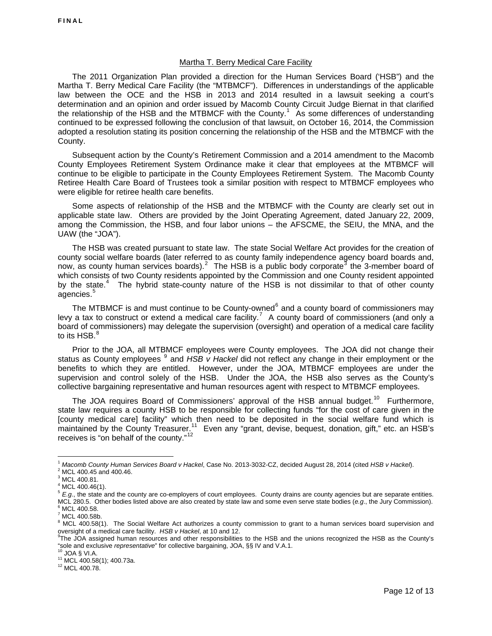#### Martha T. Berry Medical Care Facility

 The 2011 Organization Plan provided a direction for the Human Services Board ('HSB") and the Martha T. Berry Medical Care Facility (the "MTBMCF"). Differences in understandings of the applicable law between the OCE and the HSB in 2013 and 2014 resulted in a lawsuit seeking a court's determination and an opinion and order issued by Macomb County Circuit Judge Biernat in that clarified the relationship of the HSB and the MTBMCF with the County.<sup>[1](#page-12-0)</sup> As some differences of understanding continued to be expressed following the conclusion of that lawsuit, on October 16, 2014, the Commission adopted a resolution stating its position concerning the relationship of the HSB and the MTBMCF with the County.

 Subsequent action by the County's Retirement Commission and a 2014 amendment to the Macomb County Employees Retirement System Ordinance make it clear that employees at the MTBMCF will continue to be eligible to participate in the County Employees Retirement System. The Macomb County Retiree Health Care Board of Trustees took a similar position with respect to MTBMCF employees who were eligible for retiree health care benefits.

 Some aspects of relationship of the HSB and the MTBMCF with the County are clearly set out in applicable state law. Others are provided by the Joint Operating Agreement, dated January 22, 2009, among the Commission, the HSB, and four labor unions – the AFSCME, the SEIU, the MNA, and the UAW (the "JOA").

 The HSB was created pursuant to state law. The state Social Welfare Act provides for the creation of county social welfare boards (later referred to as county family independence agency board boards and, now, as county human services boards).<sup>[2](#page-12-1)</sup> The HSB is a public body corporate<sup>[3](#page-12-2)</sup> the 3-member board of which consists of two County residents appointed by the Commission and one County resident appointed by the state.<sup>[4](#page-12-3)</sup> The hybrid state-county nature of the HSB is not dissimilar to that of other county agencies.<sup>[5](#page-12-4)</sup>

The MTBMCF is and must continue to be County-owned $<sup>6</sup>$  $<sup>6</sup>$  $<sup>6</sup>$  and a county board of commissioners may</sup> levy a tax to construct or extend a medical care facility.<sup>[7](#page-12-6)</sup> A county board of commissioners (and only a board of commissioners) may delegate the supervision (oversight) and operation of a medical care facility to its HSB.<sup>[8](#page-12-7)</sup>

 Prior to the JOA, all MTBMCF employees were County employees. The JOA did not change their status as County employees <sup>[9](#page-12-8)</sup> and HSB v Hackel did not reflect any change in their employment or the benefits to which they are entitled. However, under the JOA, MTBMCF employees are under the supervision and control solely of the HSB. Under the JOA, the HSB also serves as the County's collective bargaining representative and human resources agent with respect to MTBMCF employees.

The JOA requires Board of Commissioners' approval of the HSB annual budget.<sup>[10](#page-12-9)</sup> Furthermore, state law requires a county HSB to be responsible for collecting funds "for the cost of care given in the [county medical care] facility" which then need to be deposited in the social welfare fund which is maintained by the County Treasurer.<sup>[11](#page-12-10)</sup> Even any "grant, devise, bequest, donation, gift," etc. an HSB's receives is "on behalf of the county." $12$ 

 $\overline{a}$ <sup>1</sup> *Macomb County Human Services Board v Hackel*, Case No. 2013-3032-CZ, decided August 28, 2014 (cited *HSB v Hackel*). 2

<span id="page-12-2"></span><span id="page-12-1"></span><span id="page-12-0"></span> $2$  MCL 400.45 and 400.46.

 $3$  MCL 400.81.

 $4^4$  MCL 400.46(1).

<span id="page-12-4"></span><span id="page-12-3"></span><sup>5</sup>  *E.g*., the state and the county are co-employers of court employees. County drains are county agencies but are separate entities. MCL 280.5. Other bodies listed above are also created by state law and some even serve state bodies (*e.g*., the Jury Commission). 6  $6$  MCL 400.58.

<span id="page-12-5"></span> $^7$  MCL 400.58b.

<span id="page-12-7"></span><span id="page-12-6"></span> $8$  MCL 400.58(1). The Social Welfare Act authorizes a county commission to grant to a human services board supervision and oversight of a medical care facility. *HSB v Hackel*, at 10 and 12.<br><sup>9</sup>The JOA assigned human resources and other responsibilities to the HSB and the unions recognized the HSB as the County's

<span id="page-12-8"></span><sup>&</sup>quot;sole and exclusive *representative*" for collective bargaining, JOA, §§ IV and V.A.1.<br><sup>10</sup> JOA § VI.A.<br><sup>11</sup> MCL 400.58(1); 400.73a.<br><sup>12</sup> MCL 400.78.

<span id="page-12-9"></span>

<span id="page-12-10"></span>